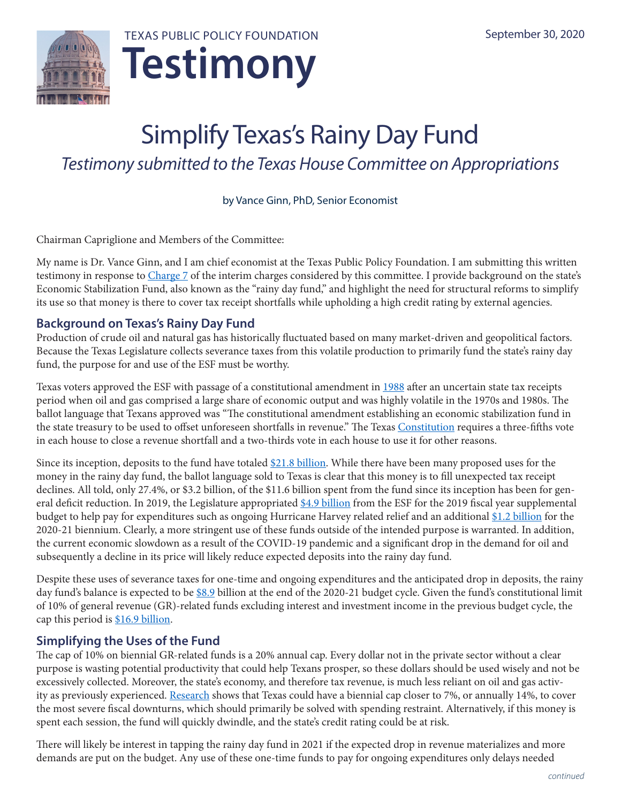

# Simplify Texas's Rainy Day Fund *Testimony submitted to the Texas House Committee on Appropriations*

by Vance Ginn, PhD, Senior Economist

Chairman Capriglione and Members of the Committee:

My name is Dr. Vance Ginn, and I am chief economist at the Texas Public Policy Foundation. I am submitting this written testimony in response to [Charge](https://capitol.texas.gov/tlodocs/86R/schedules/pdf/C0302020080500002.PDF) 7 of the interim charges considered by this committee. I provide background on the state's Economic Stabilization Fund, also known as the "rainy day fund," and highlight the need for structural reforms to simplify its use so that money is there to cover tax receipt shortfalls while upholding a high credit rating by external agencies.

# **Background on Texas's Rainy Day Fund**

Production of crude oil and natural gas has historically fluctuated based on many market-driven and geopolitical factors. Because the Texas Legislature collects severance taxes from this volatile production to primarily fund the state's rainy day fund, the purpose for and use of the ESF must be worthy.

Texas voters approved the ESF with passage of a constitutional amendment in [1988](http://www.lbb.state.tx.us/Documents/Publications/GEER/Government_Effectiveness_and_Efficiency_Report_2015.pdf) after an uncertain state tax receipts period when oil and gas comprised a large share of economic output and was highly volatile in the 1970s and 1980s. The ballot language that Texans approved was "The constitutional amendment establishing an economic stabilization fund in the state treasury to be used to offset unforeseen shortfalls in revenue." The Texas Constitution requires a three-fifths vote in each house to close a revenue shortfall and a two-thirds vote in each house to use it for other reasons.

Since its inception, deposits to the fund have totaled [\\$21.8 billion](https://www.lbb.state.tx.us/Documents/Publications/Presentation/ESF_Infographic_January_2019.pdf). While there have been many proposed uses for the money in the rainy day fund, the ballot language sold to Texas is clear that this money is to fill unexpected tax receipt declines. All told, only 27.4%, or \$3.2 billion, of the \$11.6 billion spent from the fund since its inception has been for gen-eral deficit reduction. In 2019, the Legislature appropriated [\\$4.9 billion](https://www.lbb.state.tx.us/Documents/Publications/Fiscal_SizeUp/Fiscal_SizeUp_2020-21.pdf) from the ESF for the 2019 fiscal year supplemental budget to help pay for expenditures such as ongoing Hurricane Harvey related relief and an additional [\\$1.2 billion](https://www.lbb.state.tx.us/Documents/Publications/Fiscal_SizeUp/Fiscal_SizeUp_2020-21.pdf) for the 2020-21 biennium. Clearly, a more stringent use of these funds outside of the intended purpose is warranted. In addition, the current economic slowdown as a result of the COVID-19 pandemic and a significant drop in the demand for oil and subsequently a decline in its price will likely reduce expected deposits into the rainy day fund.

Despite these uses of severance taxes for one-time and ongoing expenditures and the anticipated drop in deposits, the rainy day fund's balance is expected to be [\\$8.9](https://comptroller.texas.gov/transparency/reports/certification-revenue-estimate/2020-21-update/) billion at the end of the 2020-21 budget cycle. Given the fund's constitutional limit of 10% of general revenue (GR)-related funds excluding interest and investment income in the previous budget cycle, the cap this period is [\\$16.9 billion.](http://www.lbb.state.tx.us/Documents/Publications/Info_Graphic/5192_ESF.pdf)

# **Simplifying the Uses of the Fund**

The cap of 10% on biennial GR-related funds is a 20% annual cap. Every dollar not in the private sector without a clear purpose is wasting potential productivity that could help Texans prosper, so these dollars should be used wisely and not be excessively collected. Moreover, the state's economy, and therefore tax revenue, is much less reliant on oil and gas activ-ity as previously experienced. [Research](https://www.mercatus.org/system/files/Elde-Recession-States.pdf) shows that Texas could have a biennial cap closer to 7%, or annually 14%, to cover the most severe fiscal downturns, which should primarily be solved with spending restraint. Alternatively, if this money is spent each session, the fund will quickly dwindle, and the state's credit rating could be at risk.

There will likely be interest in tapping the rainy day fund in 2021 if the expected drop in revenue materializes and more demands are put on the budget. Any use of these one-time funds to pay for ongoing expenditures only delays needed